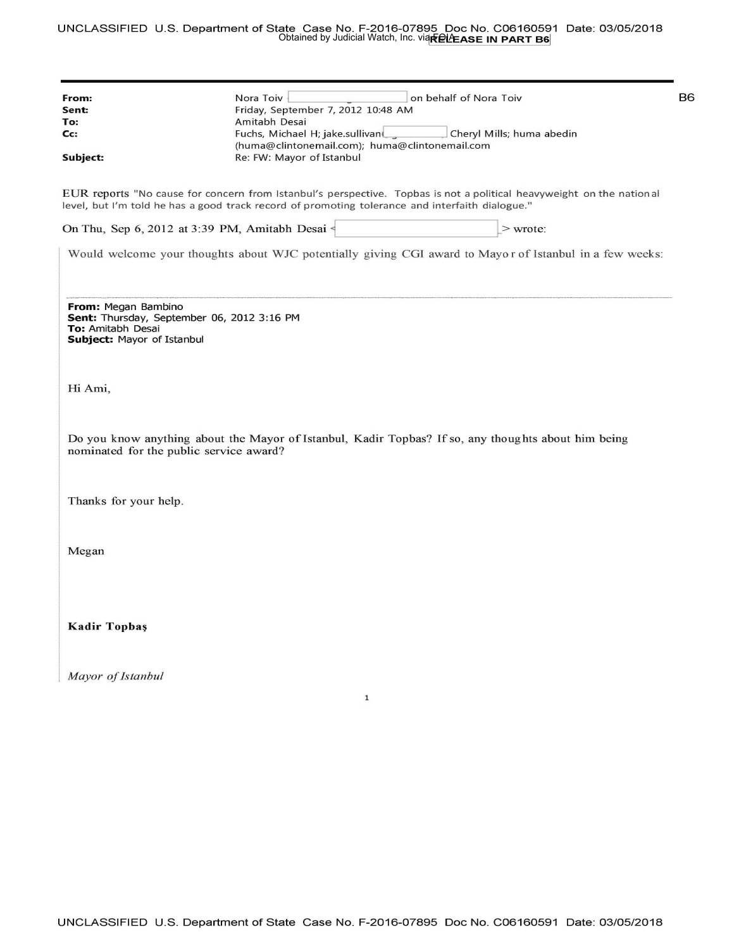## UNCLASSIFIED U .S. Department of State Case No. F-2016-07895 Doc No. C06160591 Date: 03/05/2018 Obtained by Judicial Watch, Inc. via**n它l**/EASE IN PART B6

| From:                                                                                                                | Nora Toiv<br>on behalf of Nora Toiv                                                                                                                                                                                     | B <sub>6</sub> |  |
|----------------------------------------------------------------------------------------------------------------------|-------------------------------------------------------------------------------------------------------------------------------------------------------------------------------------------------------------------------|----------------|--|
| Sent:                                                                                                                | Friday, September 7, 2012 10:48 AM                                                                                                                                                                                      |                |  |
| To:                                                                                                                  | Amitabh Desai                                                                                                                                                                                                           |                |  |
| cc:                                                                                                                  | Fuchs, Michael H; jake.sullivan<br>Cheryl Mills; huma abedin                                                                                                                                                            |                |  |
|                                                                                                                      | (huma@clintonemail.com); huma@clintonemail.com                                                                                                                                                                          |                |  |
| Subject:                                                                                                             | Re: FW: Mayor of Istanbul                                                                                                                                                                                               |                |  |
|                                                                                                                      | EUR reports "No cause for concern from Istanbul's perspective. Topbas is not a political heavyweight on the national<br>level, but I'm told he has a good track record of promoting tolerance and interfaith dialogue." |                |  |
|                                                                                                                      | On Thu, Sep 6, 2012 at 3:39 PM, Amitabh Desai<br>$>$ wrote:                                                                                                                                                             |                |  |
|                                                                                                                      | Would welcome your thoughts about WJC potentially giving CGI award to Mayor of Istanbul in a few weeks:                                                                                                                 |                |  |
| From: Megan Bambino<br>Sent: Thursday, September 06, 2012 3:16 PM<br>To: Amitabh Desai<br>Subject: Mayor of Istanbul |                                                                                                                                                                                                                         |                |  |
| Hi Ami,                                                                                                              |                                                                                                                                                                                                                         |                |  |
| nominated for the public service award?                                                                              | Do you know anything about the Mayor of Istanbul, Kadir Topbas? If so, any thoughts about him being                                                                                                                     |                |  |
| Thanks for your help.                                                                                                |                                                                                                                                                                                                                         |                |  |
| Megan                                                                                                                |                                                                                                                                                                                                                         |                |  |
| <b>Kadir Topbaş</b>                                                                                                  |                                                                                                                                                                                                                         |                |  |
| Mayor of Istanbul                                                                                                    | $\mathbf{1}$                                                                                                                                                                                                            |                |  |
|                                                                                                                      |                                                                                                                                                                                                                         |                |  |
|                                                                                                                      |                                                                                                                                                                                                                         |                |  |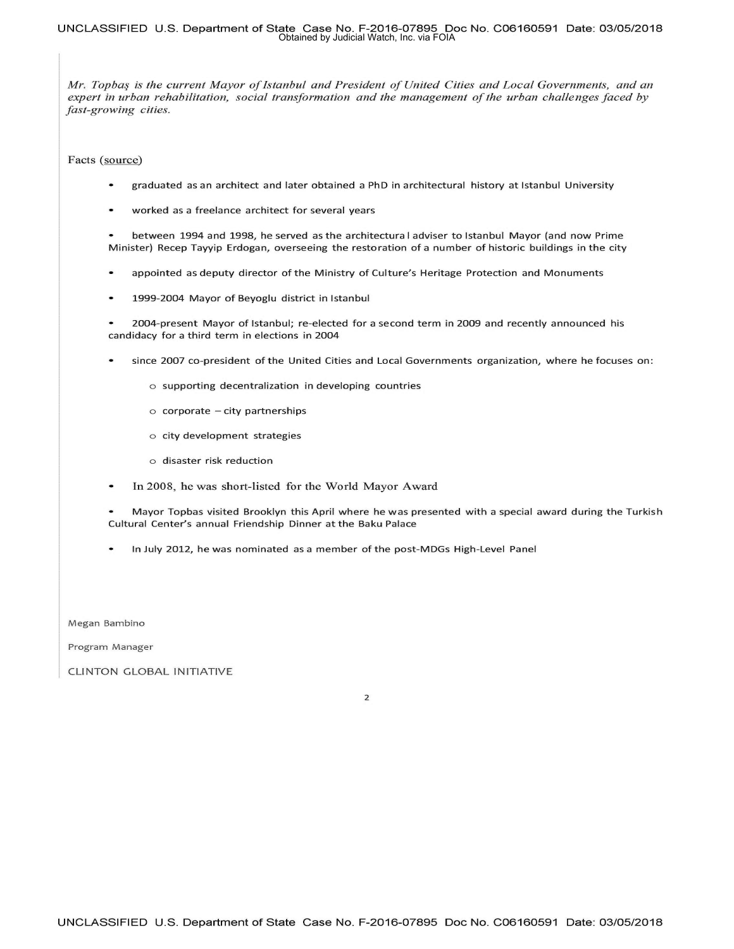## **UNCLASSIFIED U .S. Department of State Case No. F-2016-07895 Doc No. C06160591 Date: 03/05/2018**  Obtained by Judicial Watch, Inc. via FOIA

*Mr. Topbas is the current Mayor of Istanbul and President of United Cities and Local Governments, and an expert in urban rehabilitation, social transformation and the management of the urban challenges faced by fast-growing cities.* 

Facts (source)

- graduated as an architect and later obtained a PhD in architectural history at Istanbul University  $\bullet$
- worked as a freelance architect for several years

between 1994 and 1998, he served as the architectura I adviser to Istanbul Mayor (and now Prime Minister) Recep Tayyip Erdogan, overseeing the restoration of a number of historic buildings in the city

- appointed as deputy director of the Ministry of Culture's Heritage Protection and Monuments
- 1999-2004 Mayor of Beyoglu district in Istanbul

2004-present Mayor of Istanbul; re-elected for a second term in 2009 and recently announced his candidacy for a third term in elections in 2004

- since 2007 co-president of the United Cities and Local Governments organization, where he focuses on:
	- o supporting decentralization in developing countries
	- $\circ$  corporate  $-\text{city}$  partnerships
	- o city development strategies
	- o disaster risk reduction
- In 2008, he was short-listed for the World Mayor Award  $\bullet$
- Mayor Topbas visited Brooklyn this April where he was presented with a special award during the Turkish Cultural Center's annual Friendship Dinner at the Baku Palace
- In July 2012, he was nominated as a member of the post-MDGs High-Level Panel

Megan Bambino

Program Manager

CLINTON GLOBAL INITIATIVE

2